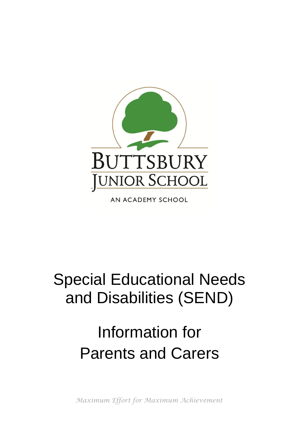

AN ACADEMY SCHOOL

## Special Educational Needs and Disabilities (SEND)

# Information for Parents and Carers

*Maximum Effort for Maximum Achievement*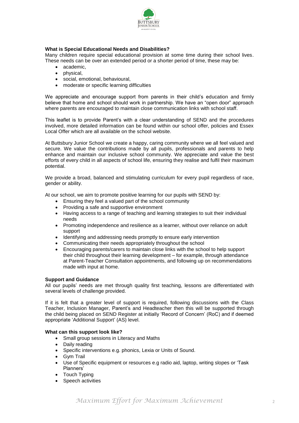

### **What is Special Educational Needs and Disabilities?**

Many children require special educational provision at some time during their school lives. These needs can be over an extended period or a shorter period of time, these may be:

- academic,
- physical,
- social, emotional, behavioural,
- moderate or specific learning difficulties

We appreciate and encourage support from parents in their child's education and firmly believe that home and school should work in partnership. We have an "open door" approach where parents are encouraged to maintain close communication links with school staff.

This leaflet is to provide Parent's with a clear understanding of SEND and the procedures involved, more detailed information can be found within our school offer, policies and Essex Local Offer which are all available on the school website.

At Buttsbury Junior School we create a happy, caring community where we all feel valued and secure. We value the contributions made by all pupils, professionals and parents to help enhance and maintain our inclusive school community. We appreciate and value the best efforts of every child in all aspects of school life, ensuring they realise and fulfil their maximum potential.

We provide a broad, balanced and stimulating curriculum for every pupil regardless of race, gender or ability.

At our school, we aim to promote positive learning for our pupils with SEND by:

- Ensuring they feel a valued part of the school community
- Providing a safe and supportive environment
- Having access to a range of teaching and learning strategies to suit their individual needs
- Promoting independence and resilience as a learner, without over reliance on adult support
- Identifying and addressing needs promptly to ensure early intervention
- Communicating their needs appropriately throughout the school
- Encouraging parents/carers to maintain close links with the school to help support their child throughout their learning development – for example, through attendance at Parent-Teacher Consultation appointments, and following up on recommendations made with input at home.

#### **Support and Guidance**

All our pupils' needs are met through quality first teaching, lessons are differentiated with several levels of challenge provided.

If it is felt that a greater level of support is required, following discussions with the Class Teacher, Inclusion Manager, Parent's and Headteacher then this will be supported through the child being placed on SEND Register at initially 'Record of Concern' (RoC) and if deemed appropriate 'Additional Support' (AS) level.

#### **What can this support look like?**

- Small group sessions in Literacy and Maths
- Daily reading
- Specific interventions e.g. phonics, Lexia or Units of Sound.
- Gvm Trail
- Use of Specific equipment or resources e.g radio aid, laptop, writing slopes or 'Task Planners'
- Touch Typing
- Speech activities